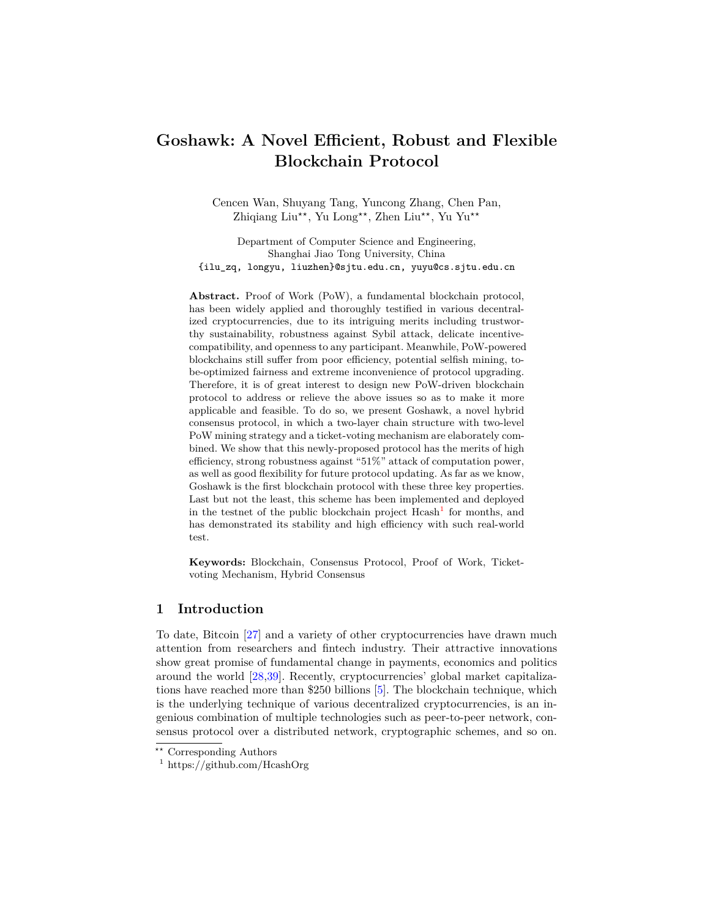# **Goshawk: A Novel Efficient, Robust and Flexible Blockchain Protocol**

Cencen Wan, Shuyang Tang, Yuncong Zhang, Chen Pan, Zhiqiang Liu*⋆⋆*, Yu Long*⋆⋆*, Zhen Liu*⋆⋆*, Yu Yu*⋆⋆*

Department of Computer Science and Engineering, Shanghai Jiao Tong University, China {ilu\_zq, longyu, liuzhen}@sjtu.edu.cn, yuyu@cs.sjtu.edu.cn

**Abstract.** Proof of Work (PoW), a fundamental blockchain protocol, has been widely applied and thoroughly testified in various decentralized cryptocurrencies, due to its intriguing merits including trustworthy sustainability, robustness against Sybil attack, delicate incentivecompatibility, and openness to any participant. Meanwhile, PoW-powered blockchains still suffer from poor efficiency, potential selfish mining, tobe-optimized fairness and extreme inconvenience of protocol upgrading. Therefore, it is of great interest to design new PoW-driven blockchain protocol to address or relieve the above issues so as to make it more applicable and feasible. To do so, we present Goshawk, a novel hybrid consensus protocol, in which a two-layer chain structure with two-level PoW mining strategy and a ticket-voting mechanism are elaborately combined. We show that this newly-proposed protocol has the merits of high efficiency, strong robustness against "51%" attack of computation power, as well as good flexibility for future protocol updating. As far as we know, Goshawk is the first blockchain protocol with these three key properties. Last but not the least, this scheme has been implemented and deployed in the testnet of the public blockchain project  $H\text{cash}^1$  $H\text{cash}^1$  for months, and has demonstrated its stability and high efficiency with such real-world test.

**Keywords:** Blockchain, Consensus Protocol, Proof of Work, Ticketvoting Mechanism, Hybrid Consensus

# **1 Introduction**

To date, Bitcoin [[27\]](#page-19-0) and a variety of other cryptocurrencies have drawn much attention from researchers and fintech industry. Their attractive innovations show great promise of fundamental change in payments, economics and politics around the world [[28,](#page-19-1)[39](#page-19-2)]. Recently, cryptocurrencies' global market capitalizations have reached more than \$250 billions [\[5](#page-17-0)]. The blockchain technique, which is the underlying technique of various decentralized cryptocurrencies, is an ingenious combination of multiple technologies such as peer-to-peer network, consensus protocol over a distributed network, cryptographic schemes, and so on.

*<sup>⋆⋆</sup>* Corresponding Authors

<span id="page-0-0"></span><sup>1</sup> https://github.com/HcashOrg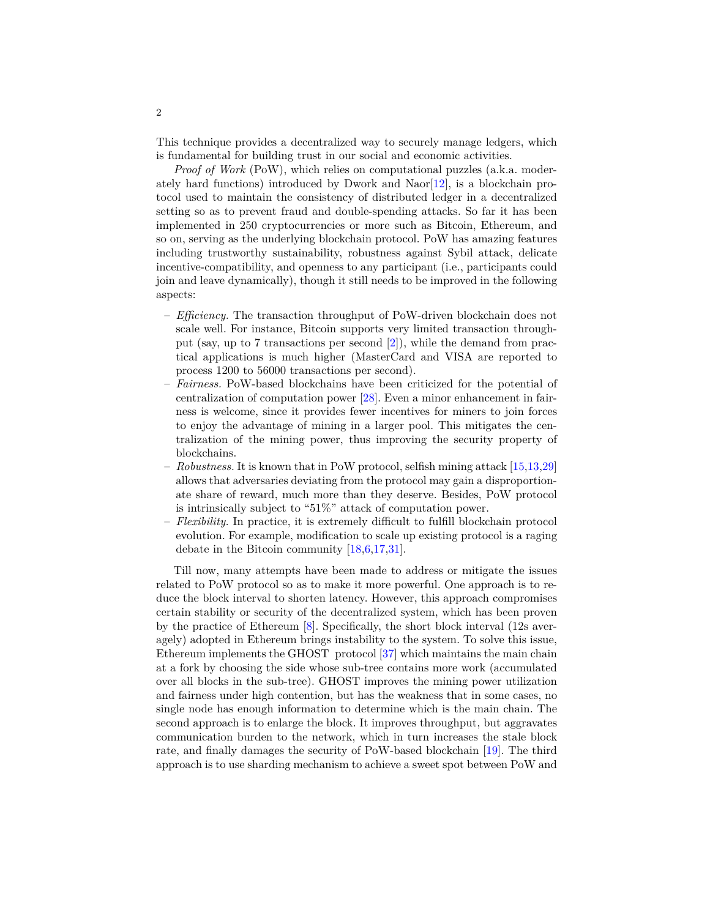This technique provides a decentralized way to securely manage ledgers, which is fundamental for building trust in our social and economic activities.

*Proof of Work* (PoW), which relies on computational puzzles (a.k.a. moder-ately hard functions) introduced by Dwork and Naor [[12\]](#page-18-0), is a blockchain protocol used to maintain the consistency of distributed ledger in a decentralized setting so as to prevent fraud and double-spending attacks. So far it has been implemented in 250 cryptocurrencies or more such as Bitcoin, Ethereum, and so on, serving as the underlying blockchain protocol. PoW has amazing features including trustworthy sustainability, robustness against Sybil attack, delicate incentive-compatibility, and openness to any participant (i.e., participants could join and leave dynamically), though it still needs to be improved in the following aspects:

- *Efficiency.* The transaction throughput of PoW-driven blockchain does not scale well. For instance, Bitcoin supports very limited transaction throughput (say, up to 7 transactions per second  $[2]$ ), while the demand from practical applications is much higher (MasterCard and VISA are reported to process 1200 to 56000 transactions per second).
- *Fairness.* PoW-based blockchains have been criticized for the potential of centralization of computation power [\[28](#page-19-1)]. Even a minor enhancement in fairness is welcome, since it provides fewer incentives for miners to join forces to enjoy the advantage of mining in a larger pool. This mitigates the centralization of the mining power, thus improving the security property of blockchains.
- *Robustness.* It is known that in PoW protocol, selfish mining attack [\[15](#page-18-1)[,13](#page-18-2),[29\]](#page-19-3) allows that adversaries deviating from the protocol may gain a disproportionate share of reward, much more than they deserve. Besides, PoW protocol is intrinsically subject to "51%" attack of computation power.
- *Flexibility.* In practice, it is extremely difficult to fulfill blockchain protocol evolution. For example, modification to scale up existing protocol is a raging debate in the Bitcoin community [[18,](#page-18-3)[6,](#page-17-2)[17](#page-18-4)[,31](#page-19-4)].

Till now, many attempts have been made to address or mitigate the issues related to PoW protocol so as to make it more powerful. One approach is to reduce the block interval to shorten latency. However, this approach compromises certain stability or security of the decentralized system, which has been proven by the practice of Ethereum [\[8](#page-18-5)]. Specifically, the short block interval (12s averagely) adopted in Ethereum brings instability to the system. To solve this issue, Ethereum implements the GHOST protocol  $[37]$  $[37]$  which maintains the main chain at a fork by choosing the side whose sub-tree contains more work (accumulated over all blocks in the sub-tree). GHOST improves the mining power utilization and fairness under high contention, but has the weakness that in some cases, no single node has enough information to determine which is the main chain. The second approach is to enlarge the block. It improves throughput, but aggravates communication burden to the network, which in turn increases the stale block rate, and finally damages the security of PoW-based blockchain [\[19](#page-18-6)]. The third approach is to use sharding mechanism to achieve a sweet spot between PoW and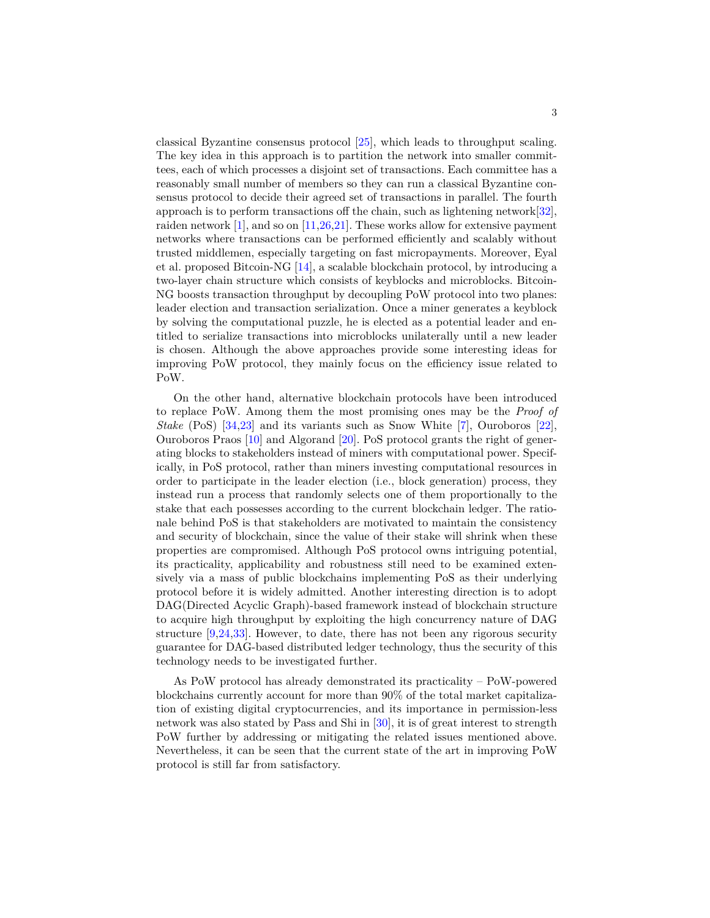classical Byzantine consensus protocol [\[25](#page-18-7)], which leads to throughput scaling. The key idea in this approach is to partition the network into smaller committees, each of which processes a disjoint set of transactions. Each committee has a reasonably small number of members so they can run a classical Byzantine consensus protocol to decide their agreed set of transactions in parallel. The fourth approach is to perform transactions off the chain, such as lightening network $[32]$  $[32]$ , raiden network [\[1](#page-17-3)], and so on [[11,](#page-18-8)[26](#page-19-7)[,21](#page-18-9)]. These works allow for extensive payment networks where transactions can be performed efficiently and scalably without trusted middlemen, especially targeting on fast micropayments. Moreover, Eyal et al. proposed Bitcoin-NG [[14\]](#page-18-10), a scalable blockchain protocol, by introducing a two-layer chain structure which consists of keyblocks and microblocks. Bitcoin-NG boosts transaction throughput by decoupling PoW protocol into two planes: leader election and transaction serialization. Once a miner generates a keyblock by solving the computational puzzle, he is elected as a potential leader and entitled to serialize transactions into microblocks unilaterally until a new leader is chosen. Although the above approaches provide some interesting ideas for improving PoW protocol, they mainly focus on the efficiency issue related to PoW.

On the other hand, alternative blockchain protocols have been introduced to replace PoW. Among them the most promising ones may be the *Proof of Stake* (PoS) [\[34](#page-19-8)[,23](#page-18-11)] and its variants such as Snow White [\[7](#page-17-4)], Ouroboros [\[22](#page-18-12)], Ouroboros Praos [[10\]](#page-18-13) and Algorand [[20\]](#page-18-14). PoS protocol grants the right of generating blocks to stakeholders instead of miners with computational power. Specifically, in PoS protocol, rather than miners investing computational resources in order to participate in the leader election (i.e., block generation) process, they instead run a process that randomly selects one of them proportionally to the stake that each possesses according to the current blockchain ledger. The rationale behind PoS is that stakeholders are motivated to maintain the consistency and security of blockchain, since the value of their stake will shrink when these properties are compromised. Although PoS protocol owns intriguing potential, its practicality, applicability and robustness still need to be examined extensively via a mass of public blockchains implementing PoS as their underlying protocol before it is widely admitted. Another interesting direction is to adopt DAG(Directed Acyclic Graph)-based framework instead of blockchain structure to acquire high throughput by exploiting the high concurrency nature of DAG structure  $[9,24,33]$  $[9,24,33]$  $[9,24,33]$  $[9,24,33]$  $[9,24,33]$ . However, to date, there has not been any rigorous security guarantee for DAG-based distributed ledger technology, thus the security of this technology needs to be investigated further.

As PoW protocol has already demonstrated its practicality – PoW-powered blockchains currently account for more than 90% of the total market capitalization of existing digital cryptocurrencies, and its importance in permission-less network was also stated by Pass and Shi in [[30\]](#page-19-10), it is of great interest to strength PoW further by addressing or mitigating the related issues mentioned above. Nevertheless, it can be seen that the current state of the art in improving PoW protocol is still far from satisfactory.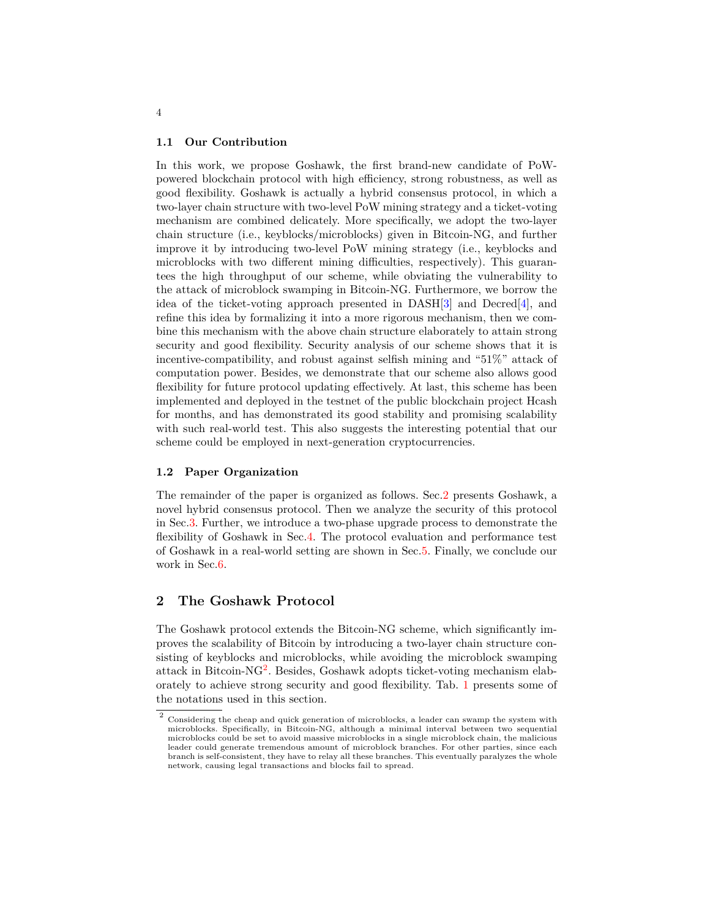#### **1.1 Our Contribution**

In this work, we propose Goshawk, the first brand-new candidate of PoWpowered blockchain protocol with high efficiency, strong robustness, as well as good flexibility. Goshawk is actually a hybrid consensus protocol, in which a two-layer chain structure with two-level PoW mining strategy and a ticket-voting mechanism are combined delicately. More specifically, we adopt the two-layer chain structure (i.e., keyblocks/microblocks) given in Bitcoin-NG, and further improve it by introducing two-level PoW mining strategy (i.e., keyblocks and microblocks with two different mining difficulties, respectively). This guarantees the high throughput of our scheme, while obviating the vulnerability to the attack of microblock swamping in Bitcoin-NG. Furthermore, we borrow the idea of the ticket-voting approach presented in DASH[[3\]](#page-17-5) and Decred[\[4](#page-17-6)], and refine this idea by formalizing it into a more rigorous mechanism, then we combine this mechanism with the above chain structure elaborately to attain strong security and good flexibility. Security analysis of our scheme shows that it is incentive-compatibility, and robust against selfish mining and "51%" attack of computation power. Besides, we demonstrate that our scheme also allows good flexibility for future protocol updating effectively. At last, this scheme has been implemented and deployed in the testnet of the public blockchain project Hcash for months, and has demonstrated its good stability and promising scalability with such real-world test. This also suggests the interesting potential that our scheme could be employed in next-generation cryptocurrencies.

#### **1.2 Paper Organization**

The remainder of the paper is organized as follows. Sec[.2](#page-3-0) presents Goshawk, a novel hybrid consensus protocol. Then we analyze the security of this protocol in Sec[.3](#page-8-0). Further, we introduce a two-phase upgrade process to demonstrate the flexibility of Goshawk in Sec.[4.](#page-13-0) The protocol evaluation and performance test of Goshawk in a real-world setting are shown in Sec.[5.](#page-15-0) Finally, we conclude our work in Sec.[6.](#page-17-7)

## <span id="page-3-0"></span>**2 The Goshawk Protocol**

The Goshawk protocol extends the Bitcoin-NG scheme, which significantly improves the scalability of Bitcoin by introducing a two-layer chain structure consisting of keyblocks and microblocks, while avoiding the microblock swamping attack in Bitcoin-NG<sup>[2](#page-3-1)</sup>. Besides, Goshawk adopts ticket-voting mechanism elaborately to achieve strong security and good flexibility. Tab. [1](#page-4-0) presents some of the notations used in this section.

<span id="page-3-1"></span><sup>2</sup> Considering the cheap and quick generation of microblocks, a leader can swamp the system with microblocks. Specifically, in Bitcoin-NG, although a minimal interval between two sequential microblocks could be set to avoid massive microblocks in a single microblock chain, the malicious leader could generate tremendous amount of microblock branches. For other parties, since each branch is self-consistent, they have to relay all these branches. This eventually paralyzes the whole network, causing legal transactions and blocks fail to spread.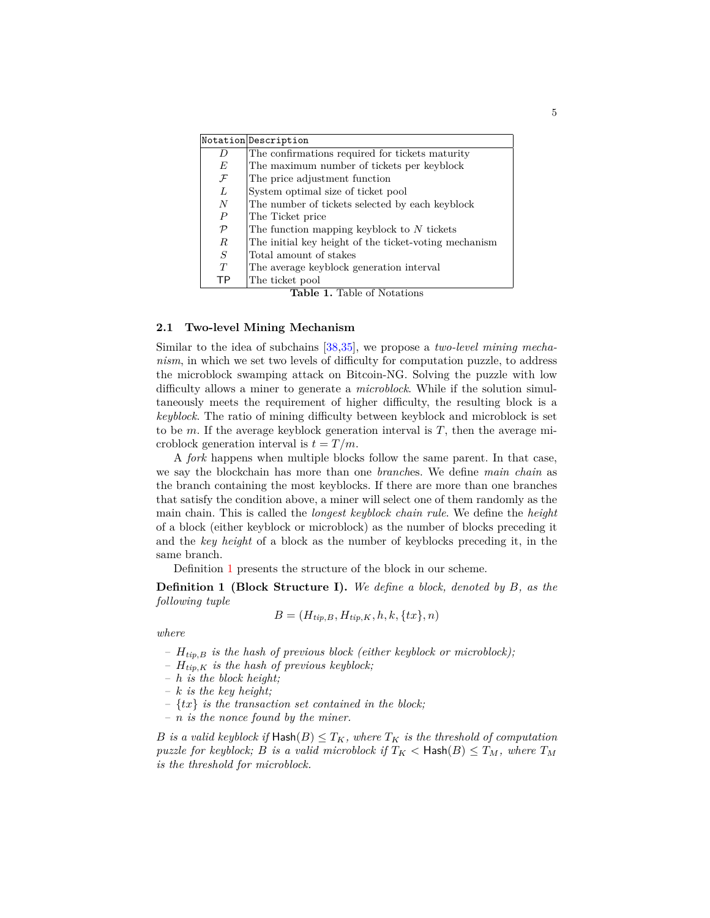|                                    | Notation Description                                  |  |  |  |
|------------------------------------|-------------------------------------------------------|--|--|--|
| D                                  | The confirmations required for tickets maturity       |  |  |  |
| E                                  | The maximum number of tickets per keyblock            |  |  |  |
| $\mathcal{F}$                      | The price adjustment function                         |  |  |  |
| L                                  | System optimal size of ticket pool                    |  |  |  |
| $\overline{N}$                     | The number of tickets selected by each keyblock       |  |  |  |
| $\boldsymbol{P}$                   | The Ticket price                                      |  |  |  |
| $\mathcal{P}$                      | The function mapping keyblock to $N$ tickets          |  |  |  |
| $_{R}$                             | The initial key height of the ticket-voting mechanism |  |  |  |
| S                                  | Total amount of stakes                                |  |  |  |
| T                                  | The average keyblock generation interval              |  |  |  |
| ТP                                 | The ticket pool                                       |  |  |  |
| <b>Table 1.</b> Table of Notations |                                                       |  |  |  |

#### <span id="page-4-2"></span><span id="page-4-0"></span>**2.1 Two-level Mining Mechanism**

Similar to the idea of subchains [[38](#page-19-11)[,35](#page-19-12)], we propose a *two-level mining mechanism*, in which we set two levels of difficulty for computation puzzle, to address the microblock swamping attack on Bitcoin-NG. Solving the puzzle with low difficulty allows a miner to generate a *microblock*. While if the solution simultaneously meets the requirement of higher difficulty, the resulting block is a *keyblock*. The ratio of mining difficulty between keyblock and microblock is set to be *m*. If the average keyblock generation interval is *T*, then the average microblock generation interval is  $t = T/m$ .

A *fork* happens when multiple blocks follow the same parent. In that case, we say the blockchain has more than one *branch*es. We define *main chain* as the branch containing the most keyblocks. If there are more than one branches that satisfy the condition above, a miner will select one of them randomly as the main chain. This is called the *longest keyblock chain rule*. We define the *height* of a block (either keyblock or microblock) as the number of blocks preceding it and the *key height* of a block as the number of keyblocks preceding it, in the same branch.

Definition [1](#page-4-1) presents the structure of the block in our scheme.

**Definition 1 (Block Structure I).** *We define a block, denoted by B, as the following tuple*

<span id="page-4-1"></span>
$$
B = (H_{tip,B}, H_{tip,K}, h, k, \{tx\}, n)
$$

*where*

- *– Htip,B is the hash of previous block (either keyblock or microblock);*
- *– Htip,K is the hash of previous keyblock;*
- *– h is the block height;*
- *– k is the key height;*
- *– {tx} is the transaction set contained in the block;*
- *– n is the nonce found by the miner.*

*B is a valid keyblock if*  $\text{Hash}(B) \leq T_K$ *, where*  $T_K$  *is the threshold of computation puzzle for keyblock; B is a valid microblock if*  $T_K <$  **Hash** $(B) \leq T_M$ *, where*  $T_M$ *is the threshold for microblock.*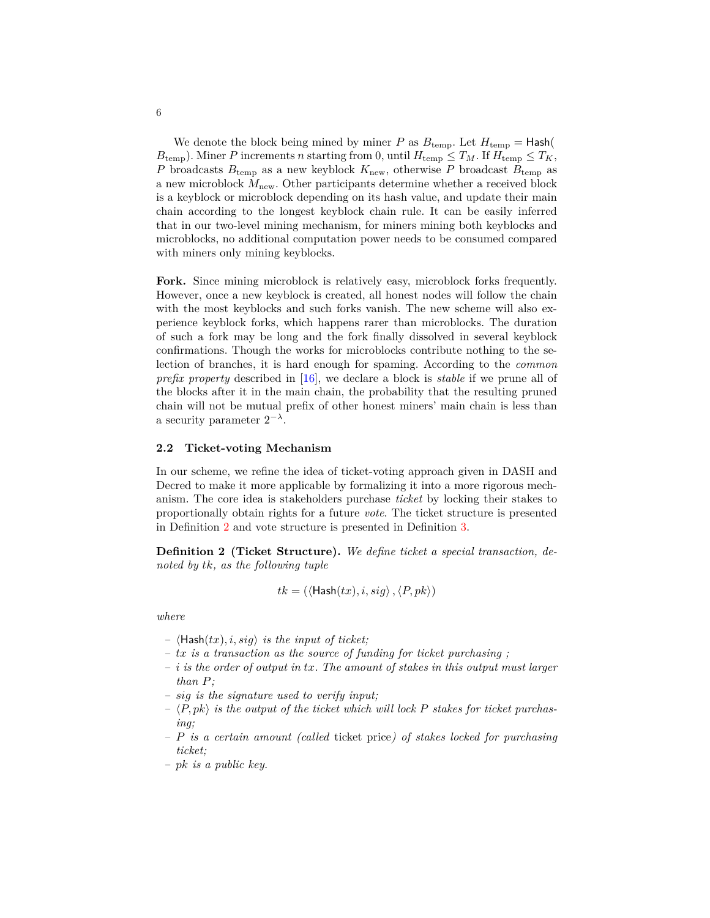We denote the block being mined by miner *P* as  $B_{\text{temp}}$ . Let  $H_{\text{temp}} =$  Hash(  $B_{\text{temp}}$ ). Miner *P* increments *n* starting from 0, until  $H_{\text{temp}} \leq T_M$ . If  $H_{\text{temp}} \leq T_K$ , *P* broadcasts *B*temp as a new keyblock *K*new, otherwise *P* broadcast *B*temp as a new microblock *M*new. Other participants determine whether a received block is a keyblock or microblock depending on its hash value, and update their main chain according to the longest keyblock chain rule. It can be easily inferred that in our two-level mining mechanism, for miners mining both keyblocks and microblocks, no additional computation power needs to be consumed compared with miners only mining keyblocks.

**Fork.** Since mining microblock is relatively easy, microblock forks frequently. However, once a new keyblock is created, all honest nodes will follow the chain with the most keyblocks and such forks vanish. The new scheme will also experience keyblock forks, which happens rarer than microblocks. The duration of such a fork may be long and the fork finally dissolved in several keyblock confirmations. Though the works for microblocks contribute nothing to the selection of branches, it is hard enough for spaming. According to the *common prefix property* described in [[16](#page-18-17)], we declare a block is *stable* if we prune all of the blocks after it in the main chain, the probability that the resulting pruned chain will not be mutual prefix of other honest miners' main chain is less than a security parameter  $2^{-\lambda}$ .

#### **2.2 Ticket-voting Mechanism**

In our scheme, we refine the idea of ticket-voting approach given in DASH and Decred to make it more applicable by formalizing it into a more rigorous mechanism. The core idea is stakeholders purchase *ticket* by locking their stakes to proportionally obtain rights for a future *vote*. The ticket structure is presented in Definition [2](#page-5-0) and vote structure is presented in Definition [3](#page-6-0).

<span id="page-5-0"></span>**Definition 2 (Ticket Structure).** *We define ticket a special transaction, denoted by tk, as the following tuple*

$$
tk = (\langle \mathsf{Hash}(tx), i, sig \rangle, \langle P, pk \rangle)
$$

*where*

- *– ⟨*Hash(*tx*)*, i, sig⟩ is the input of ticket;*
- *– tx is a transaction as the source of funding for ticket purchasing ;*
- *– i is the order of output in tx. The amount of stakes in this output must larger than P;*
- *– sig is the signature used to verify input;*
- $\langle P, pk \rangle$  *is the output of the ticket which will lock*  $P$  *stakes for ticket purchasing;*
- *– P is a certain amount (called* ticket price*) of stakes locked for purchasing ticket;*
- *– pk is a public key.*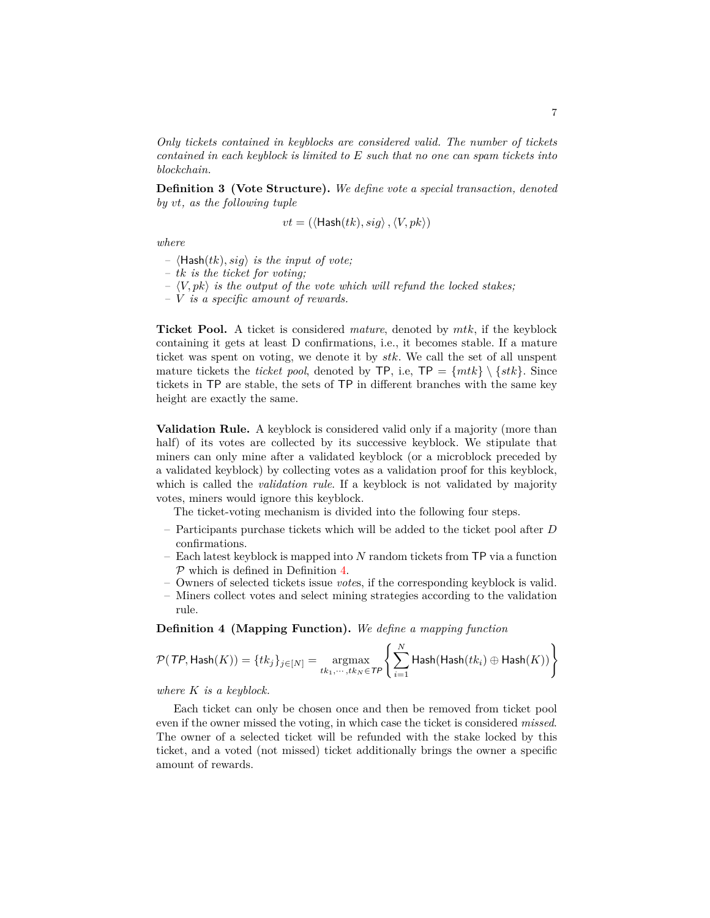*Only tickets contained in keyblocks are considered valid. The number of tickets contained in each keyblock is limited to E such that no one can spam tickets into blockchain.*

<span id="page-6-0"></span>**Definition 3 (Vote Structure).** *We define vote a special transaction, denoted by vt, as the following tuple*

$$
vt = (\langle \mathsf{Hash}(tk), sig \rangle, \langle V, pk \rangle)
$$

*where*

- *– ⟨*Hash(*tk*)*, sig⟩ is the input of vote;*
- *– tk is the ticket for voting;*
- $\langle V, pk \rangle$  *is the output of the vote which will refund the locked stakes;*
- *– V is a specific amount of rewards.*

**Ticket Pool.** A ticket is considered *mature*, denoted by *mtk*, if the keyblock containing it gets at least D confirmations, i.e., it becomes stable. If a mature ticket was spent on voting, we denote it by *stk*. We call the set of all unspent mature tickets the *ticket pool*, denoted by  $TP$ , i.e,  $TP = \{mtk\} \setminus \{stk\}$ . Since tickets in TP are stable, the sets of TP in different branches with the same key height are exactly the same.

**Validation Rule.** A keyblock is considered valid only if a majority (more than half) of its votes are collected by its successive keyblock. We stipulate that miners can only mine after a validated keyblock (or a microblock preceded by a validated keyblock) by collecting votes as a validation proof for this keyblock, which is called the *validation rule*. If a keyblock is not validated by majority votes, miners would ignore this keyblock.

The ticket-voting mechanism is divided into the following four steps.

- Participants purchase tickets which will be added to the ticket pool after *D* confirmations.
- Each latest keyblock is mapped into *N* random tickets from TP via a function *P* which is defined in Definition [4.](#page-6-1)
- Owners of selected tickets issue *vote*s, if the corresponding keyblock is valid.
- Miners collect votes and select mining strategies according to the validation rule.

#### <span id="page-6-1"></span>**Definition 4 (Mapping Function).** *We define a mapping function*

$$
\mathcal{P}(\mathit{TP},\mathsf{Hash}(K))=\{tk_j\}_{j\in [N]}=\underset{tk_1,\cdots,tk_N\in \mathit{TP}}{\mathrm{argmax}}\left\{\sum_{i=1}^N\mathsf{Hash}(\mathsf{Hash}(tk_i)\oplus\mathsf{Hash}(K))\right\}
$$

*where K is a keyblock.*

Each ticket can only be chosen once and then be removed from ticket pool even if the owner missed the voting, in which case the ticket is considered *missed*. The owner of a selected ticket will be refunded with the stake locked by this ticket, and a voted (not missed) ticket additionally brings the owner a specific amount of rewards.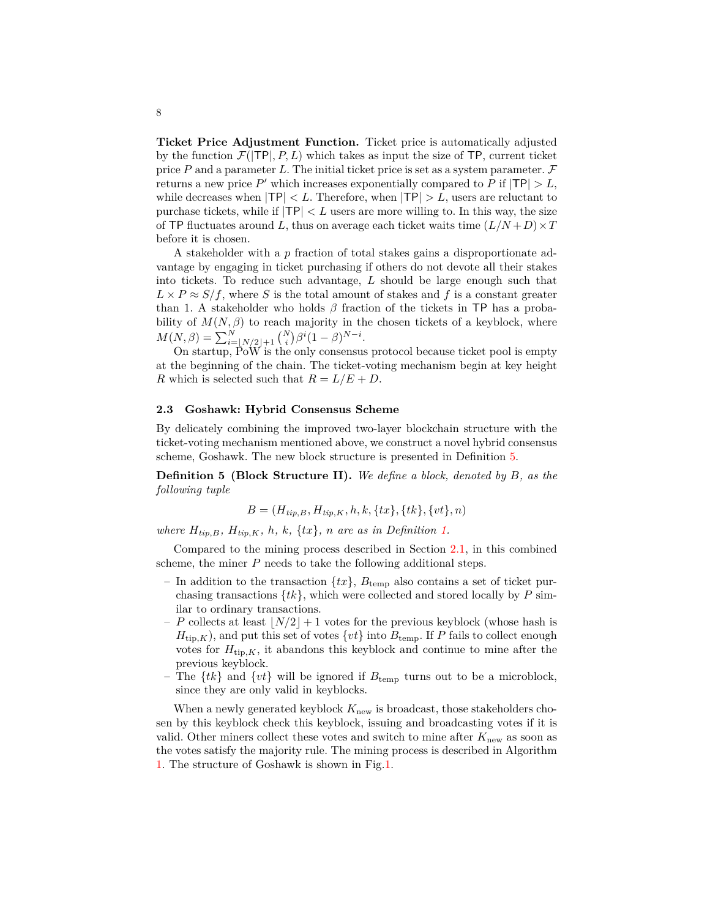**Ticket Price Adjustment Function.** Ticket price is automatically adjusted by the function  $\mathcal{F}(|TP|, P, L)$  which takes as input the size of TP, current ticket price  $P$  and a parameter  $L$ . The initial ticket price is set as a system parameter.  $\mathcal F$ returns a new price  $P'$  which increases exponentially compared to  $P$  if  $|\text{TP}| > L$ , while decreases when  $|TP| < L$ . Therefore, when  $|TP| > L$ , users are reluctant to purchase tickets, while if  $|TP| < L$  users are more willing to. In this way, the size of TP fluctuates around L, thus on average each ticket waits time  $(L/N+D) \times T$ before it is chosen.

A stakeholder with a *p* fraction of total stakes gains a disproportionate advantage by engaging in ticket purchasing if others do not devote all their stakes into tickets. To reduce such advantage, *L* should be large enough such that  $L \times P \approx S/f$ , where *S* is the total amount of stakes and *f* is a constant greater than 1. A stakeholder who holds *β* fraction of the tickets in TP has a probability of  $M(N, \beta)$  to reach majority in the chosen tickets of a keyblock, where  $M(N, \beta) = \sum_{i=1}^{N} N/2 + 1} {N \choose i} \beta^{i} (1 - \beta)^{N - i}.$ 

On startup,  $\overline{PoW}$  is the only consensus protocol because ticket pool is empty at the beginning of the chain. The ticket-voting mechanism begin at key height *R* which is selected such that  $R = L/E + D$ .

#### **2.3 Goshawk: Hybrid Consensus Scheme**

By delicately combining the improved two-layer blockchain structure with the ticket-voting mechanism mentioned above, we construct a novel hybrid consensus scheme, Goshawk. The new block structure is presented in Definition [5.](#page-7-0)

<span id="page-7-0"></span>**Definition 5 (Block Structure II).** *We define a block, denoted by B, as the following tuple*

 $B = (H_{tip,B}, H_{tip,K}, h, k, \{tx\}, \{tk\}, \{vt\}, n)$ 

*where*  $H_{tip,B}$ *,*  $H_{tip,K}$ *,*  $h$ *,*  $k$ *,*  $\{tx\}$ *,*  $n$  *are as in Definition [1.](#page-4-1)* 

Compared to the mining process described in Section [2.1](#page-4-2), in this combined scheme, the miner *P* needs to take the following additional steps.

- In addition to the transaction  $\{tx\}$ ,  $B_{\text{temp}}$  also contains a set of ticket purchasing transactions *{tk}*, which were collected and stored locally by *P* similar to ordinary transactions.
- *P* collects at least *⌊N/*2*⌋* + 1 votes for the previous keyblock (whose hash is  $H_{\text{tip},K}$ , and put this set of votes  $\{vt\}$  into  $B_{\text{temp}}$ . If *P* fails to collect enough votes for  $H_{\text{tip},K}$ , it abandons this keyblock and continue to mine after the previous keyblock.
- The  $\{tk\}$  and  $\{vt\}$  will be ignored if  $B_{\text{temp}}$  turns out to be a microblock, since they are only valid in keyblocks.

When a newly generated keyblock  $K_{\text{new}}$  is broadcast, those stakeholders chosen by this keyblock check this keyblock, issuing and broadcasting votes if it is valid. Other miners collect these votes and switch to mine after  $K_{\text{new}}$  as soon as the votes satisfy the majority rule. The mining process is described in Algorithm [1.](#page-8-1) The structure of Goshawk is shown in Fig[.1.](#page-9-0)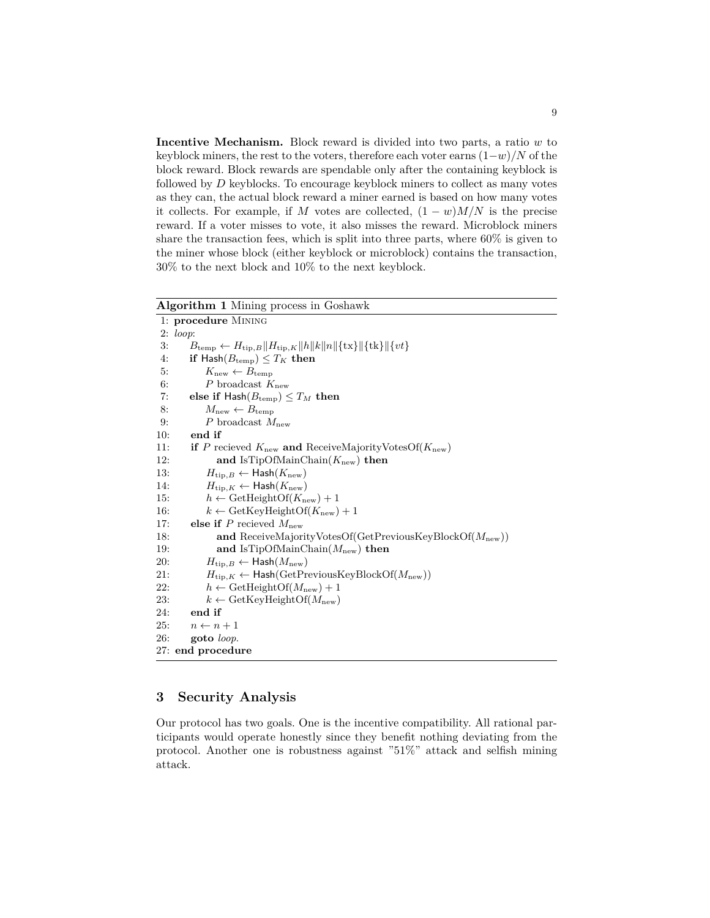**Incentive Mechanism.** Block reward is divided into two parts, a ratio *w* to keyblock miners, the rest to the voters, therefore each voter earns (1*−w*)*/N* of the block reward. Block rewards are spendable only after the containing keyblock is followed by *D* keyblocks. To encourage keyblock miners to collect as many votes as they can, the actual block reward a miner earned is based on how many votes it collects. For example, if *M* votes are collected,  $(1 - w)M/N$  is the precise reward. If a voter misses to vote, it also misses the reward. Microblock miners share the transaction fees, which is split into three parts, where 60% is given to the miner whose block (either keyblock or microblock) contains the transaction, 30% to the next block and 10% to the next keyblock.

#### <span id="page-8-1"></span>**Algorithm 1** Mining process in Goshawk

|     | -------------- - --------------- process ---- cossitum                                                                                          |
|-----|-------------------------------------------------------------------------------------------------------------------------------------------------|
|     | 1: procedure MINING                                                                                                                             |
|     | 2: loop:                                                                                                                                        |
| 3:  | $B_{\text{temp}} \leftarrow H_{\text{tip},B}    H_{\text{tip},K}    h    k    n    {\text{tx}} \text{ }    {\text{tk}} \text{ }    {\text{wt}}$ |
| 4:  | if Hash $(B_{temp}) \le T_K$ then                                                                                                               |
| 5:  | $K_{\text{new}} \leftarrow B_{\text{temp}}$                                                                                                     |
| 6:  | P broadcast $K_{\text{new}}$                                                                                                                    |
| 7:  | else if $\text{Hash}(B_{\text{temp}}) \leq T_M$ then                                                                                            |
| 8:  | $M_{\text{new}} \leftarrow B_{\text{temp}}$                                                                                                     |
| 9:  | P broadcast $M_{\text{new}}$                                                                                                                    |
| 10: | end if                                                                                                                                          |
| 11: | <b>if</b> P recieved $K_{\text{new}}$ and ReceiveMajorityVotesOf( $K_{\text{new}}$ )                                                            |
| 12: | and IsTipOfMainChain $(K_{\text{new}})$ then                                                                                                    |
| 13: | $H_{\text{tip},B} \leftarrow \text{Hash}(K_{\text{new}})$                                                                                       |
| 14: | $H_{\text{tip},K} \leftarrow \text{Hash}(K_{\text{new}})$                                                                                       |
| 15: | $h \leftarrow \text{GetHeightOf}(K_{\text{new}}) + 1$                                                                                           |
| 16: | $k \leftarrow$ GetKeyHeightOf( $K_{\text{new}}$ ) + 1                                                                                           |
| 17: | else if P recieved $M_{\text{new}}$                                                                                                             |
| 18: | and ReceiveMajorityVotesOf(GetPreviousKeyBlockOf( $M_{\text{new}}$ ))                                                                           |
| 19: | and IsTipOfMainChain $(M_{\text{new}})$ then                                                                                                    |
| 20: | $H_{\text{tip},B} \leftarrow \text{Hash}(M_{\text{new}})$                                                                                       |
| 21: | $H_{\text{tip},K} \leftarrow \text{Hash}(GetPreviousKeyBlockOf}(M_{\text{new}}))$                                                               |
| 22: | $h \leftarrow \text{GetHeightOf}(M_{\text{new}}) + 1$                                                                                           |
| 23: | $k \leftarrow$ GetKeyHeightOf( $M_{\text{new}}$ )                                                                                               |
| 24: | end if                                                                                                                                          |
| 25: | $n \leftarrow n+1$                                                                                                                              |
| 26: | goto loop.                                                                                                                                      |
|     | 27: end procedure                                                                                                                               |
|     |                                                                                                                                                 |

# <span id="page-8-0"></span>**3 Security Analysis**

Our protocol has two goals. One is the incentive compatibility. All rational participants would operate honestly since they benefit nothing deviating from the protocol. Another one is robustness against "51%" attack and selfish mining attack.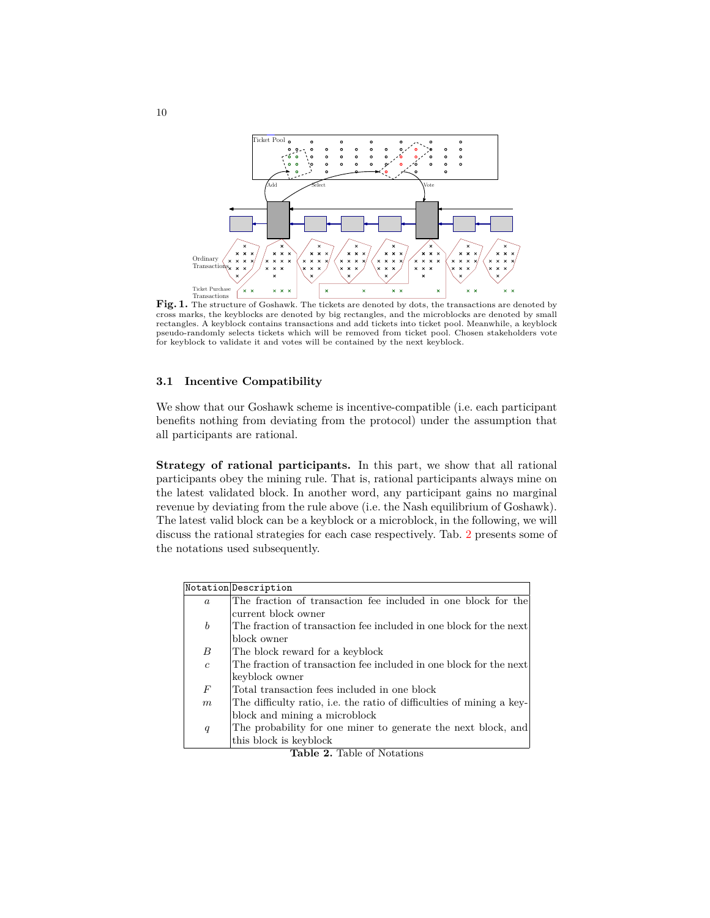

<span id="page-9-0"></span>Fig. 1. The structure of Goshawk. The tickets are denoted by dots, the transactions are denoted by cross marks, the keyblocks are denoted by big rectangles, and the microblocks are denoted by small rectangles. A keyblock contains transactions and add tickets into ticket pool. Meanwhile, a keyblock pseudo-randomly selects tickets which will be removed from ticket pool. Chosen stakeholders vote for keyblock to validate it and votes will be contained by the next keyblock.

## **3.1 Incentive Compatibility**

We show that our Goshawk scheme is incentive-compatible (i.e. each participant benefits nothing from deviating from the protocol) under the assumption that all participants are rational.

**Strategy of rational participants.** In this part, we show that all rational participants obey the mining rule. That is, rational participants always mine on the latest validated block. In another word, any participant gains no marginal revenue by deviating from the rule above (i.e. the Nash equilibrium of Goshawk). The latest valid block can be a keyblock or a microblock, in the following, we will discuss the rational strategies for each case respectively. Tab. [2](#page-9-1) presents some of the notations used subsequently.

| Notation Description                                                  |  |  |  |  |  |  |
|-----------------------------------------------------------------------|--|--|--|--|--|--|
| The fraction of transaction fee included in one block for the         |  |  |  |  |  |  |
| current block owner                                                   |  |  |  |  |  |  |
| The fraction of transaction fee included in one block for the next    |  |  |  |  |  |  |
| block owner                                                           |  |  |  |  |  |  |
| The block reward for a keyblock                                       |  |  |  |  |  |  |
| The fraction of transaction fee included in one block for the next    |  |  |  |  |  |  |
| keyblock owner                                                        |  |  |  |  |  |  |
| Total transaction fees included in one block                          |  |  |  |  |  |  |
| The difficulty ratio, i.e. the ratio of difficulties of mining a key- |  |  |  |  |  |  |
| block and mining a microblock                                         |  |  |  |  |  |  |
| The probability for one miner to generate the next block, and         |  |  |  |  |  |  |
| this block is keyblock                                                |  |  |  |  |  |  |
|                                                                       |  |  |  |  |  |  |

<span id="page-9-1"></span>**Table 2.** Table of Notations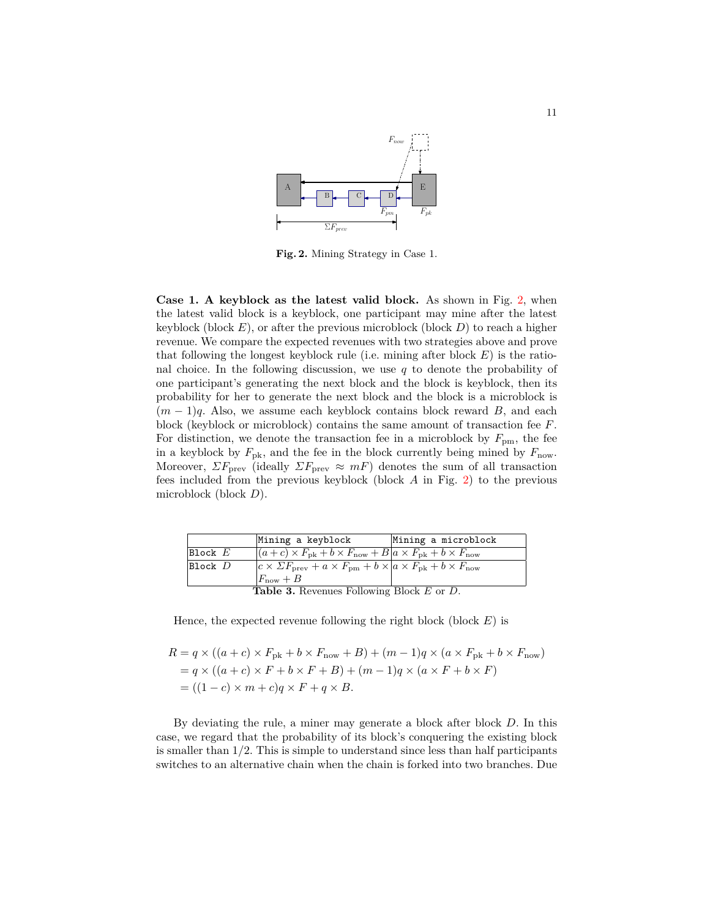

<span id="page-10-0"></span>**Fig. 2.** Mining Strategy in Case 1.

**Case 1. A keyblock as the latest valid block.** As shown in Fig. [2](#page-10-0), when the latest valid block is a keyblock, one participant may mine after the latest keyblock (block *E*), or after the previous microblock (block *D*) to reach a higher revenue. We compare the expected revenues with two strategies above and prove that following the longest keyblock rule (i.e. mining after block *E*) is the rational choice. In the following discussion, we use  $q$  to denote the probability of one participant's generating the next block and the block is keyblock, then its probability for her to generate the next block and the block is a microblock is (*m −* 1)*q*. Also, we assume each keyblock contains block reward *B*, and each block (keyblock or microblock) contains the same amount of transaction fee *F*. For distinction, we denote the transaction fee in a microblock by  $F_{\text{pm}}$ , the fee in a keyblock by  $F_{\rm pk}$ , and the fee in the block currently being mined by  $F_{\rm now}$ . Moreover,  $\Sigma F_{\text{prev}}$  (ideally  $\Sigma F_{\text{prev}} \approx mF$ ) denotes the sum of all transaction fees included from the previous keyblock (block *A* in Fig. [2](#page-10-0)) to the previous microblock (block *D*).

|                                                                                                                                                                          | Mining a keyblock                                                                                                                 | Mining a microblock |  |  |  |
|--------------------------------------------------------------------------------------------------------------------------------------------------------------------------|-----------------------------------------------------------------------------------------------------------------------------------|---------------------|--|--|--|
| Block $E$                                                                                                                                                                | $ (a+c)\times F_{\rm pk}+b\times F_{\rm now}+B a\times F_{\rm pk}+b\times F_{\rm now}$                                            |                     |  |  |  |
| Block $D$                                                                                                                                                                | $ c \times \Sigma F_{\mathrm{prev}} + a \times F_{\mathrm{pm}} + b \times  a \times F_{\mathrm{pk}} + b \times F_{\mathrm{now}} $ |                     |  |  |  |
|                                                                                                                                                                          | $ F_{\rm now}+B $                                                                                                                 |                     |  |  |  |
| $\mathbf{L}_{\text{a}}$ b $\mathbf{L}_{\text{a}}$ December $\mathbf{L}_{\text{a}}$ leads $\mathbf{L}_{\text{a}}$ and $\mathbf{L}_{\text{a}}$ and $\mathbf{L}_{\text{a}}$ |                                                                                                                                   |                     |  |  |  |

**Table 3.** Revenues Following Block *E* or *D*.

Hence, the expected revenue following the right block (block *E*) is

$$
R = q \times ((a+c) \times F_{\text{pk}} + b \times F_{\text{now}} + B) + (m-1)q \times (a \times F_{\text{pk}} + b \times F_{\text{now}})
$$
  
=  $q \times ((a+c) \times F + b \times F + B) + (m-1)q \times (a \times F + b \times F)$   
=  $((1-c) \times m + c)q \times F + q \times B$ .

By deviating the rule, a miner may generate a block after block *D*. In this case, we regard that the probability of its block's conquering the existing block is smaller than 1*/*2. This is simple to understand since less than half participants switches to an alternative chain when the chain is forked into two branches. Due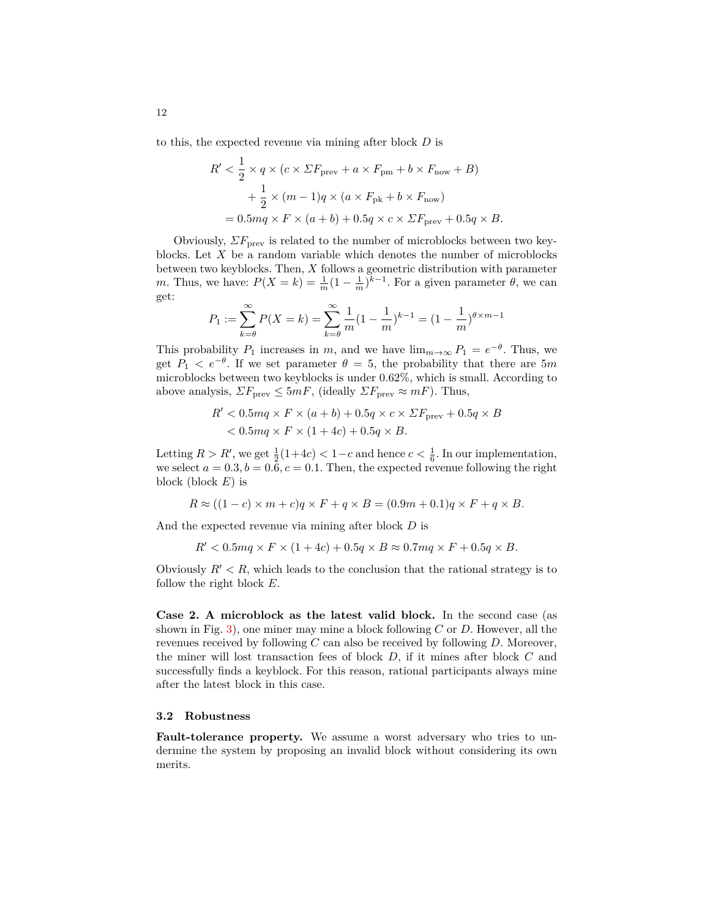to this, the expected revenue via mining after block *D* is

$$
R' < \frac{1}{2} \times q \times (c \times \Sigma F_{\text{prev}} + a \times F_{\text{pm}} + b \times F_{\text{now}} + B)
$$
\n
$$
+ \frac{1}{2} \times (m - 1)q \times (a \times F_{\text{pk}} + b \times F_{\text{now}})
$$
\n
$$
= 0.5 \, mg \times F \times (a + b) + 0.5q \times c \times \Sigma F_{\text{prev}} + 0.5q \times B.
$$

Obviously,  $\Sigma F_{\mathrm{prev}}$  is related to the number of microblocks between two keyblocks. Let *X* be a random variable which denotes the number of microblocks between two keyblocks. Then, *X* follows a geometric distribution with parameter *m*. Thus, we have:  $P(X = k) = \frac{1}{m}(1 - \frac{1}{m})^{k-1}$ . For a given parameter  $\theta$ , we can get:

$$
P_1 := \sum_{k=0}^{\infty} P(X = k) = \sum_{k=0}^{\infty} \frac{1}{m} (1 - \frac{1}{m})^{k-1} = (1 - \frac{1}{m})^{\theta \times m - 1}
$$

This probability  $P_1$  increases in  $m$ , and we have  $\lim_{m\to\infty} P_1 = e^{-\theta}$ . Thus, we get  $P_1 < e^{-\theta}$ . If we set parameter  $\theta = 5$ , the probability that there are 5*m* microblocks between two keyblocks is under 0*.*62%, which is small. According to above analysis,  $\Sigma F_{\text{prev}} \leq 5mF$ , (ideally  $\Sigma F_{\text{prev}} \approx mF$ ). Thus,

$$
R' < 0.5mq \times F \times (a+b) + 0.5q \times c \times \Sigma F_{\text{prev}} + 0.5q \times B
$$
\n
$$
< 0.5mq \times F \times (1+4c) + 0.5q \times B.
$$

Letting  $R > R'$ , we get  $\frac{1}{2}(1+4c) < 1-c$  and hence  $c < \frac{1}{6}$ . In our implementation, we select  $a = 0.3, b = 0.\overline{6}, c = 0.1$ . Then, the expected revenue following the right block (block *E*) is

$$
R \approx ((1-c) \times m + c)q \times F + q \times B = (0.9m + 0.1)q \times F + q \times B.
$$

And the expected revenue via mining after block *D* is

$$
R' < 0.5\text{mg} \times F \times (1 + 4\text{c}) + 0.5q \times B \approx 0.7\text{mg} \times F + 0.5q \times B.
$$

Obviously  $R' < R$ , which leads to the conclusion that the rational strategy is to follow the right block *E*.

**Case 2. A microblock as the latest valid block.** In the second case (as shown in Fig. [3](#page-12-0)), one miner may mine a block following *C* or *D*. However, all the revenues received by following *C* can also be received by following *D*. Moreover, the miner will lost transaction fees of block *D*, if it mines after block *C* and successfully finds a keyblock. For this reason, rational participants always mine after the latest block in this case.

#### **3.2 Robustness**

**Fault-tolerance property.** We assume a worst adversary who tries to undermine the system by proposing an invalid block without considering its own merits.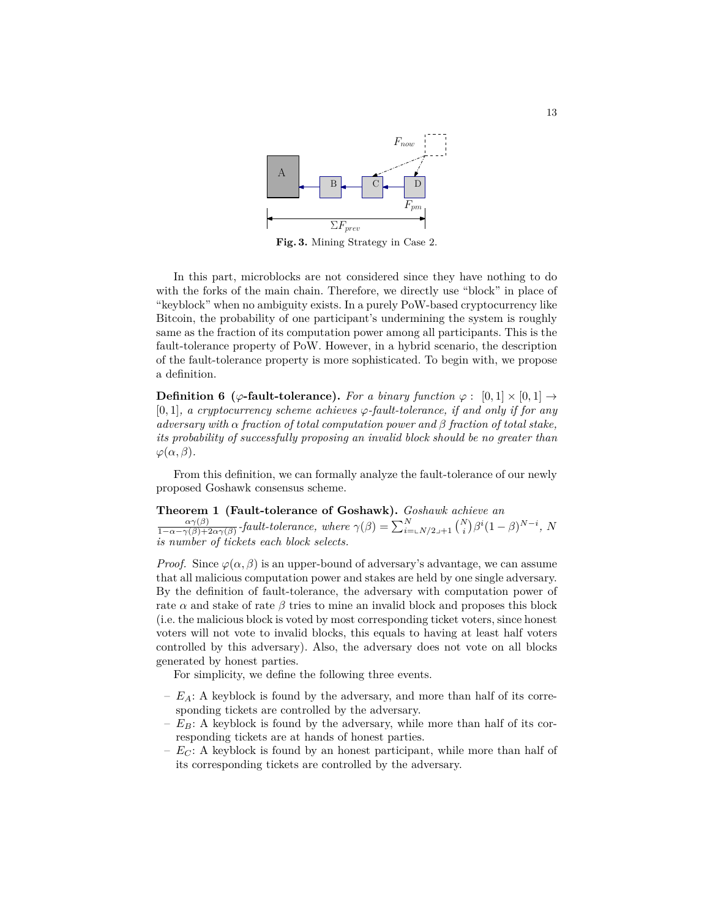

<span id="page-12-0"></span>**Fig. 3.** Mining Strategy in Case 2.

In this part, microblocks are not considered since they have nothing to do with the forks of the main chain. Therefore, we directly use "block" in place of "keyblock" when no ambiguity exists. In a purely PoW-based cryptocurrency like Bitcoin, the probability of one participant's undermining the system is roughly same as the fraction of its computation power among all participants. This is the fault-tolerance property of PoW. However, in a hybrid scenario, the description of the fault-tolerance property is more sophisticated. To begin with, we propose a definition.

**Definition 6** ( $\varphi$ **-fault-tolerance).** For a binary function  $\varphi$ :  $[0,1] \times [0,1] \rightarrow$ [0*,* 1]*, a cryptocurrency scheme achieves φ-fault-tolerance, if and only if for any adversary with α fraction of total computation power and β fraction of total stake, its probability of successfully proposing an invalid block should be no greater than φ*(*α, β*)*.*

From this definition, we can formally analyze the fault-tolerance of our newly proposed Goshawk consensus scheme.

#### **Theorem 1 (Fault-tolerance of Goshawk).** *Goshawk achieve an*

*αγ*(*β*)  $\frac{\alpha\gamma(\beta)}{1-\alpha-\gamma(\beta)+2\alpha\gamma(\beta)}$ -fault-tolerance, where  $\gamma(\beta) = \sum_{i=\text{LN}/2}^{N} \binom{N}{i} \beta^{i} (1-\beta)^{N-i}$ , N *is number of tickets each block selects.*

*Proof.* Since  $\varphi(\alpha, \beta)$  is an upper-bound of adversary's advantage, we can assume that all malicious computation power and stakes are held by one single adversary. By the definition of fault-tolerance, the adversary with computation power of rate  $\alpha$  and stake of rate  $\beta$  tries to mine an invalid block and proposes this block (i.e. the malicious block is voted by most corresponding ticket voters, since honest voters will not vote to invalid blocks, this equals to having at least half voters controlled by this adversary). Also, the adversary does not vote on all blocks generated by honest parties.

For simplicity, we define the following three events.

- *EA*: A keyblock is found by the adversary, and more than half of its corresponding tickets are controlled by the adversary.
- $-E_B$ : A keyblock is found by the adversary, while more than half of its corresponding tickets are at hands of honest parties.
- $-E<sub>C</sub>$ : A keyblock is found by an honest participant, while more than half of its corresponding tickets are controlled by the adversary.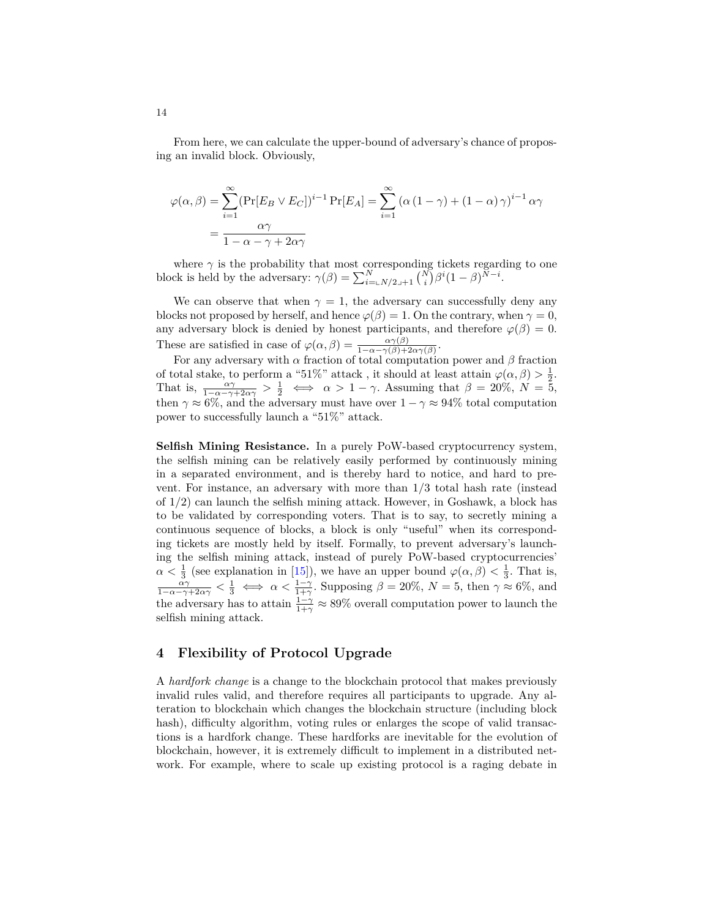From here, we can calculate the upper-bound of adversary's chance of proposing an invalid block. Obviously,

$$
\varphi(\alpha,\beta) = \sum_{i=1}^{\infty} (\Pr[E_B \lor E_C])^{i-1} \Pr[E_A] = \sum_{i=1}^{\infty} (\alpha (1 - \gamma) + (1 - \alpha) \gamma)^{i-1} \alpha \gamma
$$

$$
= \frac{\alpha \gamma}{1 - \alpha - \gamma + 2\alpha \gamma}
$$

where  $\gamma$  is the probability that most corresponding tickets regarding to one block is held by the adversary:  $\gamma(\beta) = \sum_{i=\lfloor N/2 \rfloor+1}^{N} {\binom{N}{i}} \beta^{i} (1-\beta)^{N-i}$ .

We can observe that when  $\gamma = 1$ , the adversary can successfully deny any blocks not proposed by herself, and hence  $\varphi(\beta) = 1$ . On the contrary, when  $\gamma = 0$ , any adversary block is denied by honest participants, and therefore  $\varphi(\beta) = 0$ . These are satisfied in case of  $\varphi(\alpha, \beta) = \frac{\alpha \gamma(\beta)}{1 - \alpha - \gamma(\beta) + 2\alpha \gamma(\beta)}$ .

For any adversary with *α* fraction of total computation power and *β* fraction of total stake, to perform a "51%" attack, it should at least attain  $\varphi(\alpha, \beta) > \frac{1}{2}$ . That is,  $\frac{\alpha \gamma}{1-\alpha - \gamma + 2\alpha \gamma} > \frac{1}{2} \iff \alpha > 1 - \gamma$ . Assuming that  $\beta = 20\%, N = 5$ , then  $\gamma \approx 6\%$ , and the adversary must have over  $1 - \gamma \approx 94\%$  total computation power to successfully launch a "51%" attack.

**Selfish Mining Resistance.** In a purely PoW-based cryptocurrency system, the selfish mining can be relatively easily performed by continuously mining in a separated environment, and is thereby hard to notice, and hard to prevent. For instance, an adversary with more than 1*/*3 total hash rate (instead of 1*/*2) can launch the selfish mining attack. However, in Goshawk, a block has to be validated by corresponding voters. That is to say, to secretly mining a continuous sequence of blocks, a block is only "useful" when its corresponding tickets are mostly held by itself. Formally, to prevent adversary's launching the selfish mining attack, instead of purely PoW-based cryptocurrencies'  $\alpha < \frac{1}{3}$  (see explanation in [[15\]](#page-18-1)), we have an upper bound  $\varphi(\alpha, \beta) < \frac{1}{3}$ . That is,  $\frac{\alpha \gamma}{1-\alpha-\gamma+2\alpha\gamma} < \frac{1}{3} \iff \alpha < \frac{1-\gamma}{1+\gamma}$ . Supposing  $\beta = 20\%$ ,  $N = 5$ , then  $\gamma \approx 6\%$ , and the adversary has to attain  $\frac{1-\gamma}{1+\gamma} \approx 89\%$  overall computation power to launch the selfish mining attack.

# <span id="page-13-0"></span>**4 Flexibility of Protocol Upgrade**

A *hardfork change* is a change to the blockchain protocol that makes previously invalid rules valid, and therefore requires all participants to upgrade. Any alteration to blockchain which changes the blockchain structure (including block hash), difficulty algorithm, voting rules or enlarges the scope of valid transactions is a hardfork change. These hardforks are inevitable for the evolution of blockchain, however, it is extremely difficult to implement in a distributed network. For example, where to scale up existing protocol is a raging debate in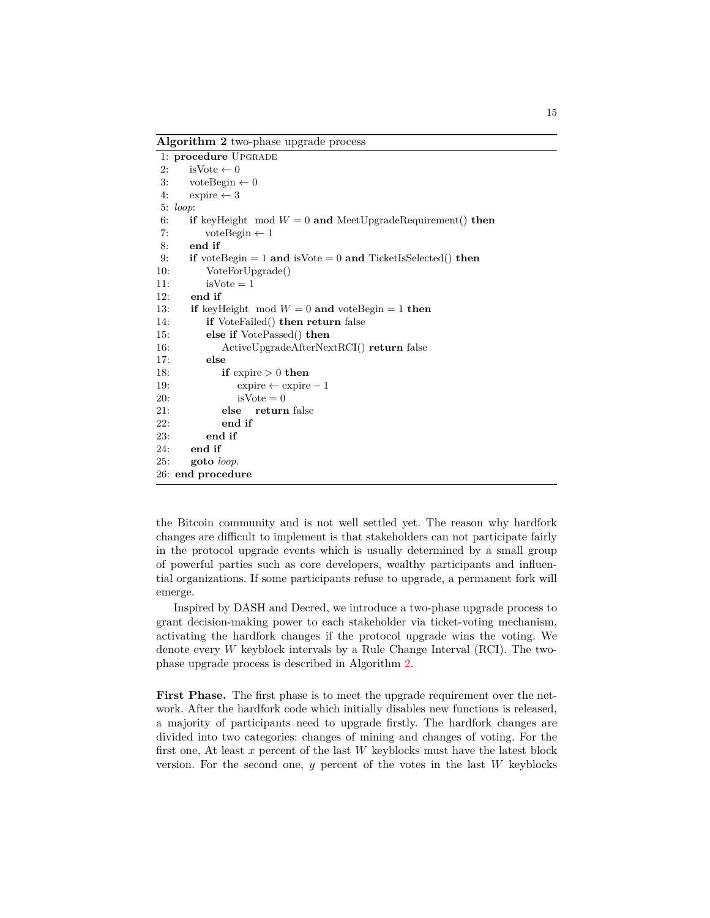<span id="page-14-0"></span>**Algorithm 2** two-phase upgrade process

|     | 1: procedure UPGRADE                                                 |
|-----|----------------------------------------------------------------------|
| 2:  | $isNote \leftarrow 0$                                                |
| 3:  | voteBegin $\leftarrow 0$                                             |
| 4:  | expire $\leftarrow$ 3                                                |
|     | 5: loop:                                                             |
| 6:  | <b>if</b> keyHeight mod $W = 0$ and MeetUpgradeRequirement() then    |
| 7:  | voteBegin $\leftarrow$ 1                                             |
| 8:  | end if                                                               |
| 9:  | if vote Begin $= 1$ and is Vote $= 0$ and Ticket Is Selected () then |
| 10: | VoteForUpgrade()                                                     |
| 11: | $isNote = 1$                                                         |
| 12: | end if                                                               |
| 13: | <b>if</b> keyHeight mod $W = 0$ and voteBegin = 1 then               |
| 14: | <b>if</b> VoteFailed() then return false                             |
| 15: | else if VotePassed() then                                            |
| 16: | ActiveUpgradeAfterNextRCI() return false                             |
| 17: | else                                                                 |
| 18: | if expire $> 0$ then                                                 |
| 19: | $\text{expire} \leftarrow \text{expire} - 1$                         |
| 20: | $isNote = 0$                                                         |
| 21: | else return false                                                    |
| 22: | end if                                                               |
| 23: | end if                                                               |
| 24: | end if                                                               |
| 25: | goto loop.                                                           |
|     | 26: end procedure                                                    |
|     |                                                                      |

the Bitcoin community and is not well settled yet. The reason why hardfork changes are difficult to implement is that stakeholders can not participate fairly in the protocol upgrade events which is usually determined by a small group of powerful parties such as core developers, wealthy participants and influential organizations. If some participants refuse to upgrade, a permanent fork will emerge.

Inspired by DASH and Decred, we introduce a two-phase upgrade process to grant decision-making power to each stakeholder via ticket-voting mechanism, activating the hardfork changes if the protocol upgrade wins the voting. We denote every *W* keyblock intervals by a Rule Change Interval (RCI). The twophase upgrade process is described in Algorithm [2](#page-14-0).

First Phase. The first phase is to meet the upgrade requirement over the network. After the hardfork code which initially disables new functions is released, a majority of participants need to upgrade firstly. The hardfork changes are divided into two categories: changes of mining and changes of voting. For the first one, At least *x* percent of the last *W* keyblocks must have the latest block version. For the second one, *y* percent of the votes in the last *W* keyblocks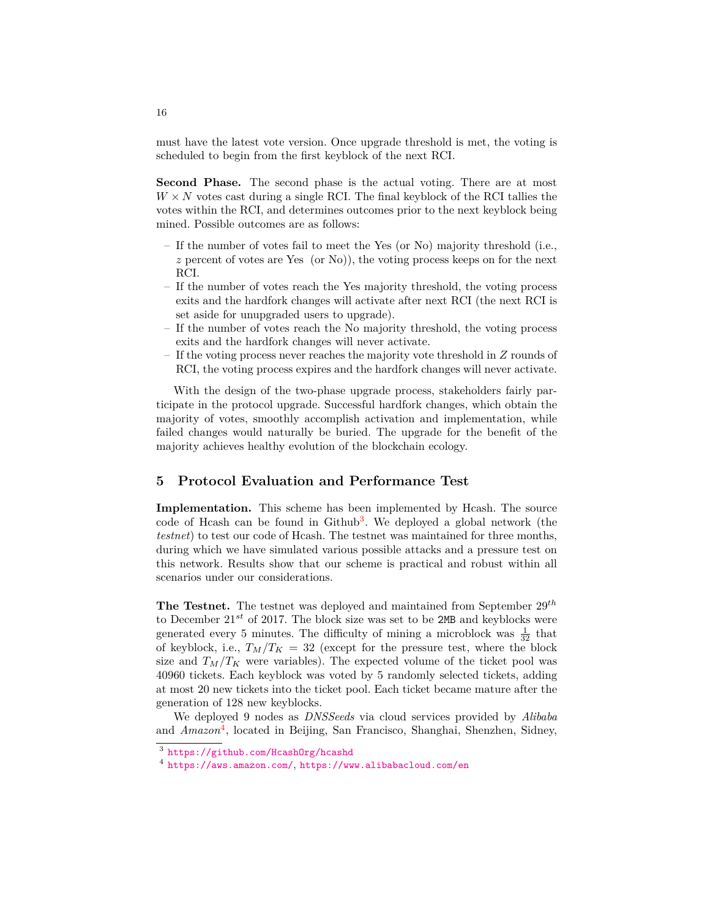must have the latest vote version. Once upgrade threshold is met, the voting is scheduled to begin from the first keyblock of the next RCI.

**Second Phase.** The second phase is the actual voting. There are at most  $W \times N$  votes cast during a single RCI. The final keyblock of the RCI tallies the votes within the RCI, and determines outcomes prior to the next keyblock being mined. Possible outcomes are as follows:

- If the number of votes fail to meet the Yes (or No) majority threshold (i.e.,  $z$  percent of votes are Yes (or No)), the voting process keeps on for the next RCI.
- If the number of votes reach the Yes majority threshold, the voting process exits and the hardfork changes will activate after next RCI (the next RCI is set aside for unupgraded users to upgrade).
- If the number of votes reach the No majority threshold, the voting process exits and the hardfork changes will never activate.
- If the voting process never reaches the majority vote threshold in *Z* rounds of RCI, the voting process expires and the hardfork changes will never activate.

With the design of the two-phase upgrade process, stakeholders fairly participate in the protocol upgrade. Successful hardfork changes, which obtain the majority of votes, smoothly accomplish activation and implementation, while failed changes would naturally be buried. The upgrade for the benefit of the majority achieves healthy evolution of the blockchain ecology.

# <span id="page-15-0"></span>**5 Protocol Evaluation and Performance Test**

Implementation. This scheme has been implemented by Hcash. The source code of Hcash can be found in Github<sup>[3](#page-15-1)</sup>. We deployed a global network (the *testnet*) to test our code of Hcash. The testnet was maintained for three months, during which we have simulated various possible attacks and a pressure test on this network. Results show that our scheme is practical and robust within all scenarios under our considerations.

**The Testnet.** The testnet was deployed and maintained from September 29*th* to December 21*st* of 2017. The block size was set to be 2MB and keyblocks were generated every 5 minutes. The difficulty of mining a microblock was  $\frac{1}{32}$  that of keyblock, i.e.,  $T_M/T_K = 32$  (except for the pressure test, where the block size and  $T_M/T_K$  were variables). The expected volume of the ticket pool was 40960 tickets. Each keyblock was voted by 5 randomly selected tickets, adding at most 20 new tickets into the ticket pool. Each ticket became mature after the generation of 128 new keyblocks.

We deployed 9 nodes as *DNSSeeds* via cloud services provided by *Alibaba* and *Amazon*[4](#page-15-2) , located in Beijing, San Francisco, Shanghai, Shenzhen, Sidney,

<span id="page-15-1"></span><sup>3</sup> <https://github.com/HcashOrg/hcashd>

<span id="page-15-2"></span><sup>4</sup> <https://aws.amazon.com/>, <https://www.alibabacloud.com/en>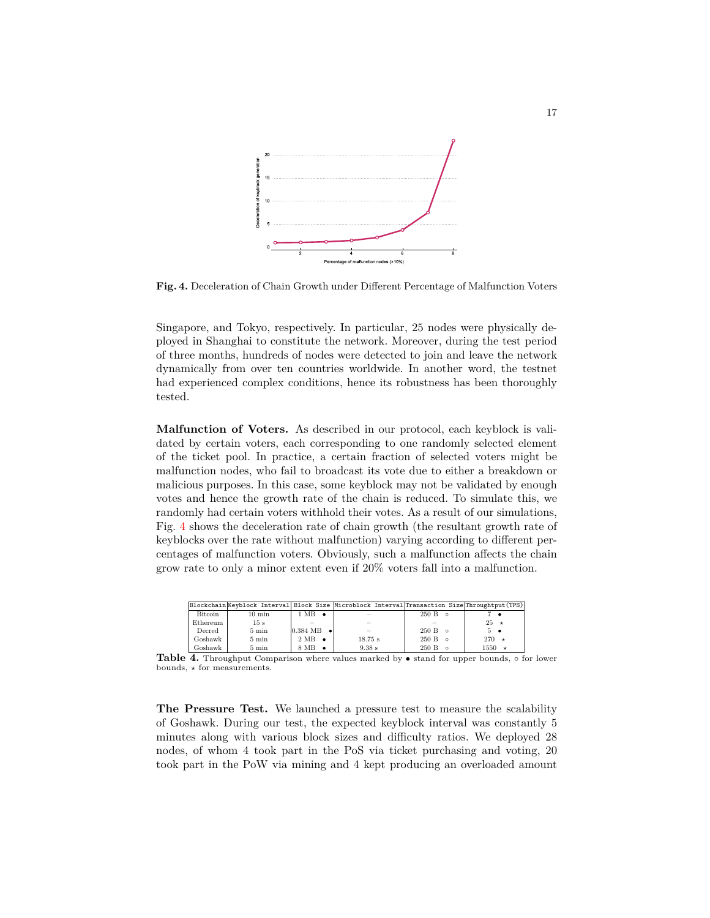

<span id="page-16-0"></span>**Fig. 4.** Deceleration of Chain Growth under Different Percentage of Malfunction Voters

Singapore, and Tokyo, respectively. In particular, 25 nodes were physically deployed in Shanghai to constitute the network. Moreover, during the test period of three months, hundreds of nodes were detected to join and leave the network dynamically from over ten countries worldwide. In another word, the testnet had experienced complex conditions, hence its robustness has been thoroughly tested.

**Malfunction of Voters.** As described in our protocol, each keyblock is validated by certain voters, each corresponding to one randomly selected element of the ticket pool. In practice, a certain fraction of selected voters might be malfunction nodes, who fail to broadcast its vote due to either a breakdown or malicious purposes. In this case, some keyblock may not be validated by enough votes and hence the growth rate of the chain is reduced. To simulate this, we randomly had certain voters withhold their votes. As a result of our simulations, Fig. [4](#page-16-0) shows the deceleration rate of chain growth (the resultant growth rate of keyblocks over the rate without malfunction) varying according to different percentages of malfunction voters. Obviously, such a malfunction affects the chain grow rate to only a minor extent even if 20% voters fall into a malfunction.

|          |                  |                              | Blockchain Keyblock Interval Block Size Microblock Interval Transaction Size Throughtput (TPS) |           |                 |
|----------|------------------|------------------------------|------------------------------------------------------------------------------------------------|-----------|-----------------|
| Bitcoin  | $10 \text{ min}$ | $1 \text{ MB}$ .             |                                                                                                | $250 B$ o |                 |
| Ethereum | 15 s             |                              |                                                                                                |           | $25 \div$       |
| Decred   | $5 \text{ min}$  | $0.384 \text{ MB}$ $\bullet$ |                                                                                                | $250 B$ o | 5.              |
| Goshawk  | $5 \text{ min}$  | $2 \text{ MB}$ $\bullet$     | $18.75$ s                                                                                      | $250 B$ o | $270 +$         |
| Goshawk  | $5 \text{ min}$  | 8 MB                         | 9.38 s                                                                                         | $250 B$ o | 1550<br>$\star$ |

<span id="page-16-1"></span>**Table 4.** Throughput Comparison where values marked by *•* stand for upper bounds, *◦* for lower bounds, *⋆* for measurements.

**The Pressure Test.** We launched a pressure test to measure the scalability of Goshawk. During our test, the expected keyblock interval was constantly 5 minutes along with various block sizes and difficulty ratios. We deployed 28 nodes, of whom 4 took part in the PoS via ticket purchasing and voting, 20 took part in the PoW via mining and 4 kept producing an overloaded amount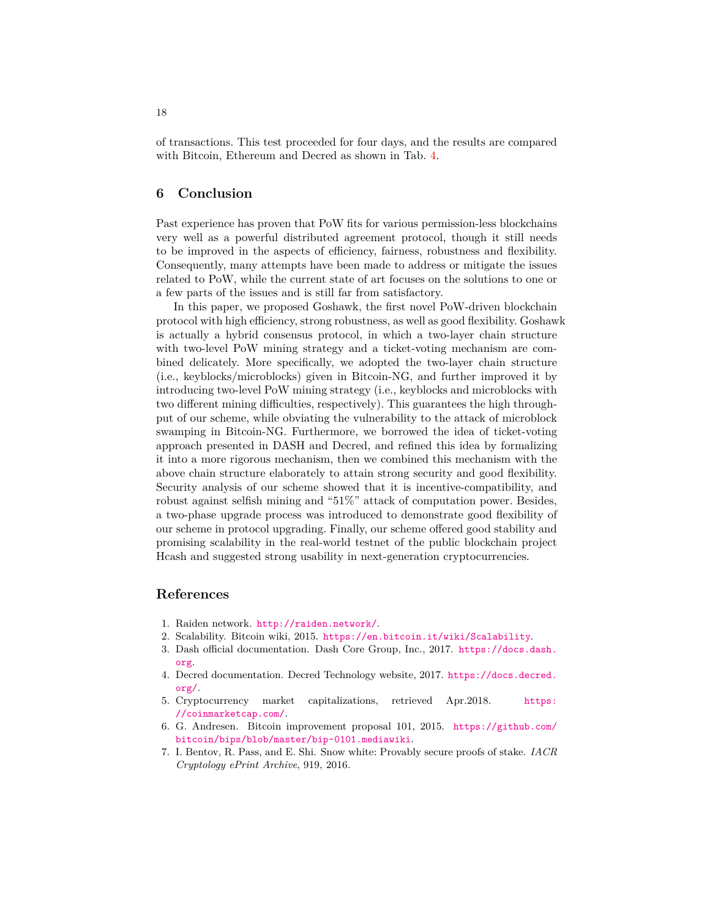of transactions. This test proceeded for four days, and the results are compared with Bitcoin, Ethereum and Decred as shown in Tab. [4](#page-16-1).

### <span id="page-17-7"></span>**6 Conclusion**

Past experience has proven that PoW fits for various permission-less blockchains very well as a powerful distributed agreement protocol, though it still needs to be improved in the aspects of efficiency, fairness, robustness and flexibility. Consequently, many attempts have been made to address or mitigate the issues related to PoW, while the current state of art focuses on the solutions to one or a few parts of the issues and is still far from satisfactory.

In this paper, we proposed Goshawk, the first novel PoW-driven blockchain protocol with high efficiency, strong robustness, as well as good flexibility. Goshawk is actually a hybrid consensus protocol, in which a two-layer chain structure with two-level PoW mining strategy and a ticket-voting mechanism are combined delicately. More specifically, we adopted the two-layer chain structure (i.e., keyblocks/microblocks) given in Bitcoin-NG, and further improved it by introducing two-level PoW mining strategy (i.e., keyblocks and microblocks with two different mining difficulties, respectively). This guarantees the high throughput of our scheme, while obviating the vulnerability to the attack of microblock swamping in Bitcoin-NG. Furthermore, we borrowed the idea of ticket-voting approach presented in DASH and Decred, and refined this idea by formalizing it into a more rigorous mechanism, then we combined this mechanism with the above chain structure elaborately to attain strong security and good flexibility. Security analysis of our scheme showed that it is incentive-compatibility, and robust against selfish mining and "51%" attack of computation power. Besides, a two-phase upgrade process was introduced to demonstrate good flexibility of our scheme in protocol upgrading. Finally, our scheme offered good stability and promising scalability in the real-world testnet of the public blockchain project Hcash and suggested strong usability in next-generation cryptocurrencies.

# **References**

- <span id="page-17-3"></span>1. Raiden network. <http://raiden.network/>.
- <span id="page-17-1"></span>2. Scalability. Bitcoin wiki, 2015. <https://en.bitcoin.it/wiki/Scalability>.
- <span id="page-17-5"></span>3. Dash official documentation. Dash Core Group, Inc., 2017. [https://docs.dash.](https://docs.dash.org) [org](https://docs.dash.org).
- <span id="page-17-6"></span>4. Decred documentation. Decred Technology website, 2017. [https://docs.decred.](https://docs.decred.org/) [org/](https://docs.decred.org/).
- <span id="page-17-0"></span>5. Cryptocurrency market capitalizations, retrieved Apr.2018. [https:](https://coinmarketcap.com/) [//coinmarketcap.com/](https://coinmarketcap.com/).
- <span id="page-17-2"></span>6. G. Andresen. Bitcoin improvement proposal 101, 2015. [https://github.com/](https://github.com/bitcoin/bips/blob/master/bip-0101.mediawiki) [bitcoin/bips/blob/master/bip-0101.mediawiki](https://github.com/bitcoin/bips/blob/master/bip-0101.mediawiki).
- <span id="page-17-4"></span>7. I. Bentov, R. Pass, and E. Shi. Snow white: Provably secure proofs of stake. *IACR Cryptology ePrint Archive*, 919, 2016.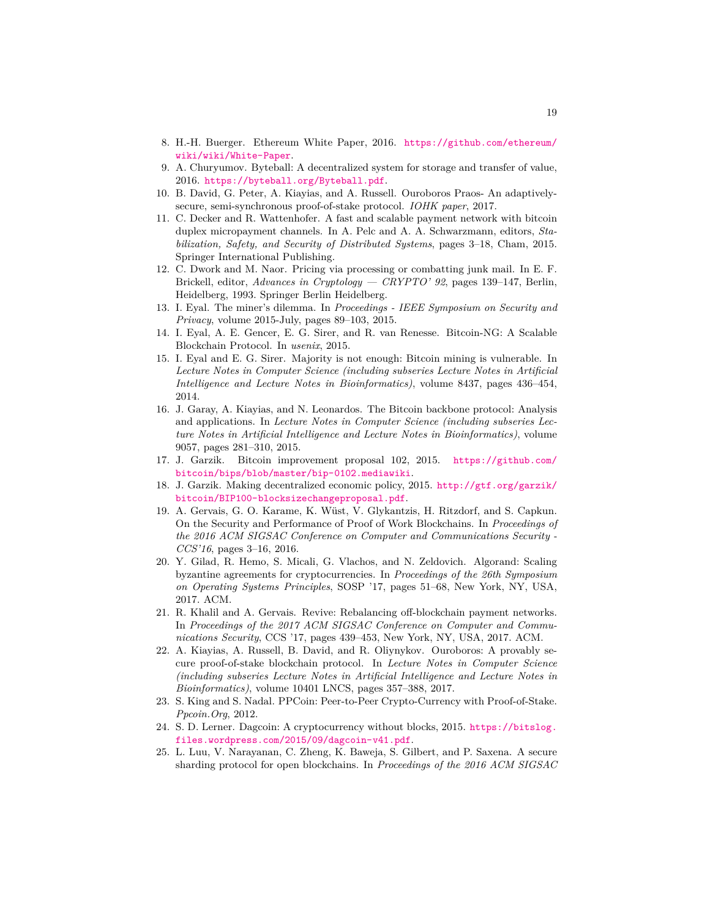- <span id="page-18-5"></span>8. H.-H. Buerger. Ethereum White Paper, 2016. [https://github.com/ethereum/](https://github.com/ethereum/wiki/wiki/White-Paper) [wiki/wiki/White-Paper](https://github.com/ethereum/wiki/wiki/White-Paper).
- <span id="page-18-15"></span>9. A. Churyumov. Byteball: A decentralized system for storage and transfer of value, 2016. <https://byteball.org/Byteball.pdf>.
- <span id="page-18-13"></span>10. B. David, G. Peter, A. Kiayias, and A. Russell. Ouroboros Praos- An adaptivelysecure, semi-synchronous proof-of-stake protocol. *IOHK paper*, 2017.
- <span id="page-18-8"></span>11. C. Decker and R. Wattenhofer. A fast and scalable payment network with bitcoin duplex micropayment channels. In A. Pelc and A. A. Schwarzmann, editors, *Stabilization, Safety, and Security of Distributed Systems*, pages 3–18, Cham, 2015. Springer International Publishing.
- <span id="page-18-0"></span>12. C. Dwork and M. Naor. Pricing via processing or combatting junk mail. In E. F. Brickell, editor, *Advances in Cryptology — CRYPTO' 92*, pages 139–147, Berlin, Heidelberg, 1993. Springer Berlin Heidelberg.
- <span id="page-18-2"></span>13. I. Eyal. The miner's dilemma. In *Proceedings - IEEE Symposium on Security and Privacy*, volume 2015-July, pages 89–103, 2015.
- <span id="page-18-10"></span>14. I. Eyal, A. E. Gencer, E. G. Sirer, and R. van Renesse. Bitcoin-NG: A Scalable Blockchain Protocol. In *usenix*, 2015.
- <span id="page-18-1"></span>15. I. Eyal and E. G. Sirer. Majority is not enough: Bitcoin mining is vulnerable. In *Lecture Notes in Computer Science (including subseries Lecture Notes in Artificial Intelligence and Lecture Notes in Bioinformatics)*, volume 8437, pages 436–454, 2014.
- <span id="page-18-17"></span>16. J. Garay, A. Kiayias, and N. Leonardos. The Bitcoin backbone protocol: Analysis and applications. In *Lecture Notes in Computer Science (including subseries Lecture Notes in Artificial Intelligence and Lecture Notes in Bioinformatics)*, volume 9057, pages 281–310, 2015.
- <span id="page-18-4"></span>17. J. Garzik. Bitcoin improvement proposal 102, 2015. [https://github.com/](https://github.com/bitcoin/bips/blob/master/bip-0102.mediawiki) [bitcoin/bips/blob/master/bip-0102.mediawiki](https://github.com/bitcoin/bips/blob/master/bip-0102.mediawiki).
- <span id="page-18-3"></span>18. J. Garzik. Making decentralized economic policy, 2015. [http://gtf.org/garzik/](http://gtf.org/garzik/bitcoin/BIP100-blocksizechangeproposal.pdf) [bitcoin/BIP100-blocksizechangeproposal.pdf](http://gtf.org/garzik/bitcoin/BIP100-blocksizechangeproposal.pdf).
- <span id="page-18-6"></span>19. A. Gervais, G. O. Karame, K. Wüst, V. Glykantzis, H. Ritzdorf, and S. Capkun. On the Security and Performance of Proof of Work Blockchains. In *Proceedings of the 2016 ACM SIGSAC Conference on Computer and Communications Security - CCS'16*, pages 3–16, 2016.
- <span id="page-18-14"></span>20. Y. Gilad, R. Hemo, S. Micali, G. Vlachos, and N. Zeldovich. Algorand: Scaling byzantine agreements for cryptocurrencies. In *Proceedings of the 26th Symposium on Operating Systems Principles*, SOSP '17, pages 51–68, New York, NY, USA, 2017. ACM.
- <span id="page-18-9"></span>21. R. Khalil and A. Gervais. Revive: Rebalancing off-blockchain payment networks. In *Proceedings of the 2017 ACM SIGSAC Conference on Computer and Communications Security*, CCS '17, pages 439–453, New York, NY, USA, 2017. ACM.
- <span id="page-18-12"></span>22. A. Kiayias, A. Russell, B. David, and R. Oliynykov. Ouroboros: A provably secure proof-of-stake blockchain protocol. In *Lecture Notes in Computer Science (including subseries Lecture Notes in Artificial Intelligence and Lecture Notes in Bioinformatics)*, volume 10401 LNCS, pages 357–388, 2017.
- <span id="page-18-11"></span>23. S. King and S. Nadal. PPCoin: Peer-to-Peer Crypto-Currency with Proof-of-Stake. *Ppcoin.Org*, 2012.
- <span id="page-18-16"></span>24. S. D. Lerner. Dagcoin: A cryptocurrency without blocks, 2015. [https://bitslog.](https://bitslog.files.wordpress.com/2015/09/dagcoin-v41.pdf) [files.wordpress.com/2015/09/dagcoin-v41.pdf](https://bitslog.files.wordpress.com/2015/09/dagcoin-v41.pdf).
- <span id="page-18-7"></span>25. L. Luu, V. Narayanan, C. Zheng, K. Baweja, S. Gilbert, and P. Saxena. A secure sharding protocol for open blockchains. In *Proceedings of the 2016 ACM SIGSAC*